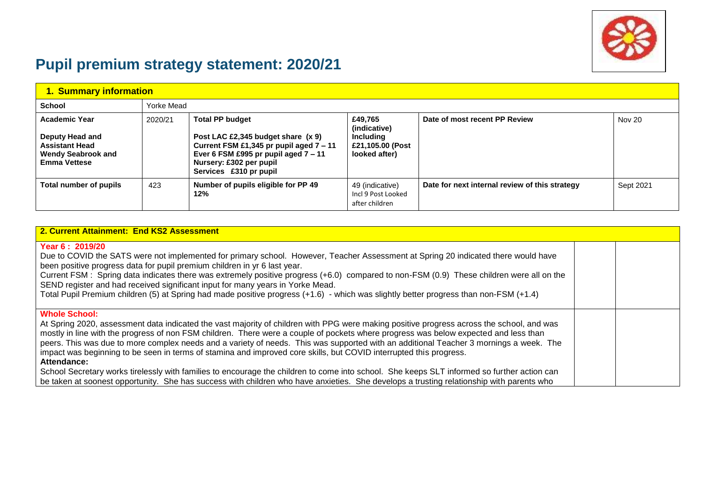

# **Pupil premium strategy statement: 2020/21**

| 1. Summary information                                                                                               |            |                                                                                                                                                                                                        |                                                                                  |                                                |           |
|----------------------------------------------------------------------------------------------------------------------|------------|--------------------------------------------------------------------------------------------------------------------------------------------------------------------------------------------------------|----------------------------------------------------------------------------------|------------------------------------------------|-----------|
| School                                                                                                               | Yorke Mead |                                                                                                                                                                                                        |                                                                                  |                                                |           |
| <b>Academic Year</b><br>Deputy Head and<br><b>Assistant Head</b><br><b>Wendy Seabrook and</b><br><b>Emma Vettese</b> | 2020/21    | <b>Total PP budget</b><br>Post LAC £2,345 budget share (x 9)<br>Current FSM £1,345 pr pupil aged 7 - 11<br>Ever 6 FSM £995 pr pupil aged $7 - 11$<br>Nursery: £302 per pupil<br>Services £310 pr pupil | £49.765<br>(indicative)<br><b>Including</b><br>£21,105,00 (Post<br>looked after) | Date of most recent PP Review                  | Nov 20    |
| Total number of pupils                                                                                               | 423        | Number of pupils eligible for PP 49<br>12%                                                                                                                                                             | 49 (indicative)<br>Incl 9 Post Looked<br>after children                          | Date for next internal review of this strategy | Sept 2021 |

| 2. Current Attainment: End KS2 Assessment                                                                                                                                                                                                                                                                                                                                                                                                                                                                                                                                                                                                                                                                                                                                                                                                                                           |  |
|-------------------------------------------------------------------------------------------------------------------------------------------------------------------------------------------------------------------------------------------------------------------------------------------------------------------------------------------------------------------------------------------------------------------------------------------------------------------------------------------------------------------------------------------------------------------------------------------------------------------------------------------------------------------------------------------------------------------------------------------------------------------------------------------------------------------------------------------------------------------------------------|--|
| Year 6: 2019/20<br>Due to COVID the SATS were not implemented for primary school. However, Teacher Assessment at Spring 20 indicated there would have<br>been positive progress data for pupil premium children in yr 6 last year.<br>Current FSM : Spring data indicates there was extremely positive progress (+6.0) compared to non-FSM (0.9) These children were all on the<br>SEND register and had received significant input for many years in Yorke Mead.<br>Total Pupil Premium children (5) at Spring had made positive progress (+1.6) - which was slightly better progress than non-FSM (+1.4)                                                                                                                                                                                                                                                                          |  |
| <b>Whole School:</b><br>At Spring 2020, assessment data indicated the vast majority of children with PPG were making positive progress across the school, and was<br>mostly in line with the progress of non FSM children. There were a couple of pockets where progress was below expected and less than<br>peers. This was due to more complex needs and a variety of needs. This was supported with an additional Teacher 3 mornings a week. The<br>impact was beginning to be seen in terms of stamina and improved core skills, but COVID interrupted this progress.<br>Attendance:<br>School Secretary works tirelessly with families to encourage the children to come into school. She keeps SLT informed so further action can<br>be taken at soonest opportunity. She has success with children who have anxieties. She develops a trusting relationship with parents who |  |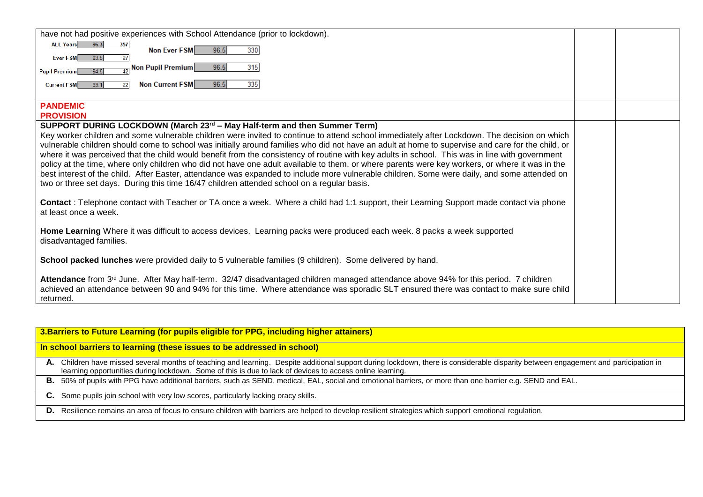| 96.3<br><b>ALL Years</b><br>357<br>96.5<br>Non Ever FSM<br>330<br>Ever FSM<br>93.5<br>27<br>$\frac{1}{2}$ Non Pupil Premium<br>96.5<br>315<br>94.5<br>Pupil Premium<br>Non Current FSM<br>93.1<br>96.5<br>335<br>Current FSM<br>22<br><b>PANDEMIC</b><br><b>PROVISION</b><br>SUPPORT DURING LOCKDOWN (March $23^{rd}$ – May Half-term and then Summer Term)<br>Key worker children and some vulnerable children were invited to continue to attend school immediately after Lockdown. The decision on which<br>vulnerable children should come to school was initially around families who did not have an adult at home to supervise and care for the child, or<br>where it was perceived that the child would benefit from the consistency of routine with key adults in school. This was in line with government<br>policy at the time, where only children who did not have one adult available to them, or where parents were key workers, or where it was in the<br>best interest of the child. After Easter, attendance was expanded to include more vulnerable children. Some were daily, and some attended on<br>two or three set days. During this time 16/47 children attended school on a regular basis.<br>Contact: Telephone contact with Teacher or TA once a week. Where a child had 1:1 support, their Learning Support made contact via phone<br>at least once a week.<br>Home Learning Where it was difficult to access devices. Learning packs were produced each week. 8 packs a week supported<br>disadvantaged families.<br>School packed lunches were provided daily to 5 vulnerable families (9 children). Some delivered by hand.<br>Attendance from 3 <sup>rd</sup> June. After May half-term. 32/47 disadvantaged children managed attendance above 94% for this period. 7 children<br>achieved an attendance between 90 and 94% for this time. Where attendance was sporadic SLT ensured there was contact to make sure child<br>returned. | have not had positive experiences with School Attendance (prior to lockdown). |  |
|-------------------------------------------------------------------------------------------------------------------------------------------------------------------------------------------------------------------------------------------------------------------------------------------------------------------------------------------------------------------------------------------------------------------------------------------------------------------------------------------------------------------------------------------------------------------------------------------------------------------------------------------------------------------------------------------------------------------------------------------------------------------------------------------------------------------------------------------------------------------------------------------------------------------------------------------------------------------------------------------------------------------------------------------------------------------------------------------------------------------------------------------------------------------------------------------------------------------------------------------------------------------------------------------------------------------------------------------------------------------------------------------------------------------------------------------------------------------------------------------------------------------------------------------------------------------------------------------------------------------------------------------------------------------------------------------------------------------------------------------------------------------------------------------------------------------------------------------------------------------------------------------------------------------------------------------------------------------------|-------------------------------------------------------------------------------|--|
|                                                                                                                                                                                                                                                                                                                                                                                                                                                                                                                                                                                                                                                                                                                                                                                                                                                                                                                                                                                                                                                                                                                                                                                                                                                                                                                                                                                                                                                                                                                                                                                                                                                                                                                                                                                                                                                                                                                                                                         |                                                                               |  |
|                                                                                                                                                                                                                                                                                                                                                                                                                                                                                                                                                                                                                                                                                                                                                                                                                                                                                                                                                                                                                                                                                                                                                                                                                                                                                                                                                                                                                                                                                                                                                                                                                                                                                                                                                                                                                                                                                                                                                                         |                                                                               |  |
|                                                                                                                                                                                                                                                                                                                                                                                                                                                                                                                                                                                                                                                                                                                                                                                                                                                                                                                                                                                                                                                                                                                                                                                                                                                                                                                                                                                                                                                                                                                                                                                                                                                                                                                                                                                                                                                                                                                                                                         |                                                                               |  |
|                                                                                                                                                                                                                                                                                                                                                                                                                                                                                                                                                                                                                                                                                                                                                                                                                                                                                                                                                                                                                                                                                                                                                                                                                                                                                                                                                                                                                                                                                                                                                                                                                                                                                                                                                                                                                                                                                                                                                                         |                                                                               |  |
|                                                                                                                                                                                                                                                                                                                                                                                                                                                                                                                                                                                                                                                                                                                                                                                                                                                                                                                                                                                                                                                                                                                                                                                                                                                                                                                                                                                                                                                                                                                                                                                                                                                                                                                                                                                                                                                                                                                                                                         |                                                                               |  |
|                                                                                                                                                                                                                                                                                                                                                                                                                                                                                                                                                                                                                                                                                                                                                                                                                                                                                                                                                                                                                                                                                                                                                                                                                                                                                                                                                                                                                                                                                                                                                                                                                                                                                                                                                                                                                                                                                                                                                                         |                                                                               |  |
|                                                                                                                                                                                                                                                                                                                                                                                                                                                                                                                                                                                                                                                                                                                                                                                                                                                                                                                                                                                                                                                                                                                                                                                                                                                                                                                                                                                                                                                                                                                                                                                                                                                                                                                                                                                                                                                                                                                                                                         |                                                                               |  |
|                                                                                                                                                                                                                                                                                                                                                                                                                                                                                                                                                                                                                                                                                                                                                                                                                                                                                                                                                                                                                                                                                                                                                                                                                                                                                                                                                                                                                                                                                                                                                                                                                                                                                                                                                                                                                                                                                                                                                                         |                                                                               |  |
|                                                                                                                                                                                                                                                                                                                                                                                                                                                                                                                                                                                                                                                                                                                                                                                                                                                                                                                                                                                                                                                                                                                                                                                                                                                                                                                                                                                                                                                                                                                                                                                                                                                                                                                                                                                                                                                                                                                                                                         |                                                                               |  |
|                                                                                                                                                                                                                                                                                                                                                                                                                                                                                                                                                                                                                                                                                                                                                                                                                                                                                                                                                                                                                                                                                                                                                                                                                                                                                                                                                                                                                                                                                                                                                                                                                                                                                                                                                                                                                                                                                                                                                                         |                                                                               |  |
|                                                                                                                                                                                                                                                                                                                                                                                                                                                                                                                                                                                                                                                                                                                                                                                                                                                                                                                                                                                                                                                                                                                                                                                                                                                                                                                                                                                                                                                                                                                                                                                                                                                                                                                                                                                                                                                                                                                                                                         |                                                                               |  |
|                                                                                                                                                                                                                                                                                                                                                                                                                                                                                                                                                                                                                                                                                                                                                                                                                                                                                                                                                                                                                                                                                                                                                                                                                                                                                                                                                                                                                                                                                                                                                                                                                                                                                                                                                                                                                                                                                                                                                                         |                                                                               |  |
|                                                                                                                                                                                                                                                                                                                                                                                                                                                                                                                                                                                                                                                                                                                                                                                                                                                                                                                                                                                                                                                                                                                                                                                                                                                                                                                                                                                                                                                                                                                                                                                                                                                                                                                                                                                                                                                                                                                                                                         |                                                                               |  |
|                                                                                                                                                                                                                                                                                                                                                                                                                                                                                                                                                                                                                                                                                                                                                                                                                                                                                                                                                                                                                                                                                                                                                                                                                                                                                                                                                                                                                                                                                                                                                                                                                                                                                                                                                                                                                                                                                                                                                                         |                                                                               |  |
|                                                                                                                                                                                                                                                                                                                                                                                                                                                                                                                                                                                                                                                                                                                                                                                                                                                                                                                                                                                                                                                                                                                                                                                                                                                                                                                                                                                                                                                                                                                                                                                                                                                                                                                                                                                                                                                                                                                                                                         |                                                                               |  |
|                                                                                                                                                                                                                                                                                                                                                                                                                                                                                                                                                                                                                                                                                                                                                                                                                                                                                                                                                                                                                                                                                                                                                                                                                                                                                                                                                                                                                                                                                                                                                                                                                                                                                                                                                                                                                                                                                                                                                                         |                                                                               |  |
|                                                                                                                                                                                                                                                                                                                                                                                                                                                                                                                                                                                                                                                                                                                                                                                                                                                                                                                                                                                                                                                                                                                                                                                                                                                                                                                                                                                                                                                                                                                                                                                                                                                                                                                                                                                                                                                                                                                                                                         |                                                                               |  |
|                                                                                                                                                                                                                                                                                                                                                                                                                                                                                                                                                                                                                                                                                                                                                                                                                                                                                                                                                                                                                                                                                                                                                                                                                                                                                                                                                                                                                                                                                                                                                                                                                                                                                                                                                                                                                                                                                                                                                                         |                                                                               |  |
|                                                                                                                                                                                                                                                                                                                                                                                                                                                                                                                                                                                                                                                                                                                                                                                                                                                                                                                                                                                                                                                                                                                                                                                                                                                                                                                                                                                                                                                                                                                                                                                                                                                                                                                                                                                                                                                                                                                                                                         |                                                                               |  |
|                                                                                                                                                                                                                                                                                                                                                                                                                                                                                                                                                                                                                                                                                                                                                                                                                                                                                                                                                                                                                                                                                                                                                                                                                                                                                                                                                                                                                                                                                                                                                                                                                                                                                                                                                                                                                                                                                                                                                                         |                                                                               |  |
|                                                                                                                                                                                                                                                                                                                                                                                                                                                                                                                                                                                                                                                                                                                                                                                                                                                                                                                                                                                                                                                                                                                                                                                                                                                                                                                                                                                                                                                                                                                                                                                                                                                                                                                                                                                                                                                                                                                                                                         |                                                                               |  |
|                                                                                                                                                                                                                                                                                                                                                                                                                                                                                                                                                                                                                                                                                                                                                                                                                                                                                                                                                                                                                                                                                                                                                                                                                                                                                                                                                                                                                                                                                                                                                                                                                                                                                                                                                                                                                                                                                                                                                                         |                                                                               |  |
|                                                                                                                                                                                                                                                                                                                                                                                                                                                                                                                                                                                                                                                                                                                                                                                                                                                                                                                                                                                                                                                                                                                                                                                                                                                                                                                                                                                                                                                                                                                                                                                                                                                                                                                                                                                                                                                                                                                                                                         |                                                                               |  |
|                                                                                                                                                                                                                                                                                                                                                                                                                                                                                                                                                                                                                                                                                                                                                                                                                                                                                                                                                                                                                                                                                                                                                                                                                                                                                                                                                                                                                                                                                                                                                                                                                                                                                                                                                                                                                                                                                                                                                                         |                                                                               |  |

| 3. Barriers to Future Learning (for pupils eligible for PPG, including higher attainers)                                                                                                                                                                                                          |
|---------------------------------------------------------------------------------------------------------------------------------------------------------------------------------------------------------------------------------------------------------------------------------------------------|
| In school barriers to learning (these issues to be addressed in school)                                                                                                                                                                                                                           |
| A. Children have missed several months of teaching and learning. Despite additional support during lockdown, there is considerable disparity between engagement and participation in<br>learning opportunities during lockdown. Some of this is due to lack of devices to access online learning. |
| B. 50% of pupils with PPG have additional barriers, such as SEND, medical, EAL, social and emotional barriers, or more than one barrier e.g. SEND and EAL.                                                                                                                                        |
| C. Some pupils join school with very low scores, particularly lacking oracy skills.                                                                                                                                                                                                               |
| D. Resilience remains an area of focus to ensure children with barriers are helped to develop resilient strategies which support emotional regulation.                                                                                                                                            |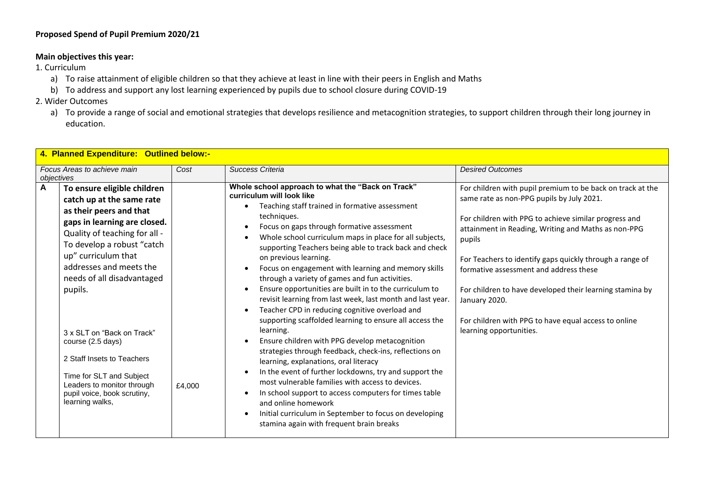# **Proposed Spend of Pupil Premium 2020/21**

## **Main objectives this year:**

1. Curriculum

- a) To raise attainment of eligible children so that they achieve at least in line with their peers in English and Maths
- b) To address and support any lost learning experienced by pupils due to school closure during COVID-19
- 2. Wider Outcomes
	- a) To provide a range of social and emotional strategies that develops resilience and metacognition strategies, to support children through their long journey in education.

| 4. Planned Expenditure: Outlined below:-                                                                                                                                                                                                                                                                                                                                                                                                                                        |        |                                                                                                                                                                                                                                                                                                                                                                                                                                                                                                                                                                                                                                                                                                                                                                                                                                                                                                                                                                                                                                                                                                                                                                                           |                                                                                                                                                                                                                                                                                                                                                                                                                                                                                                         |  |  |  |
|---------------------------------------------------------------------------------------------------------------------------------------------------------------------------------------------------------------------------------------------------------------------------------------------------------------------------------------------------------------------------------------------------------------------------------------------------------------------------------|--------|-------------------------------------------------------------------------------------------------------------------------------------------------------------------------------------------------------------------------------------------------------------------------------------------------------------------------------------------------------------------------------------------------------------------------------------------------------------------------------------------------------------------------------------------------------------------------------------------------------------------------------------------------------------------------------------------------------------------------------------------------------------------------------------------------------------------------------------------------------------------------------------------------------------------------------------------------------------------------------------------------------------------------------------------------------------------------------------------------------------------------------------------------------------------------------------------|---------------------------------------------------------------------------------------------------------------------------------------------------------------------------------------------------------------------------------------------------------------------------------------------------------------------------------------------------------------------------------------------------------------------------------------------------------------------------------------------------------|--|--|--|
| Focus Areas to achieve main<br>objectives                                                                                                                                                                                                                                                                                                                                                                                                                                       | Cost   | Success Criteria                                                                                                                                                                                                                                                                                                                                                                                                                                                                                                                                                                                                                                                                                                                                                                                                                                                                                                                                                                                                                                                                                                                                                                          | <b>Desired Outcomes</b>                                                                                                                                                                                                                                                                                                                                                                                                                                                                                 |  |  |  |
| A<br>To ensure eligible children<br>catch up at the same rate<br>as their peers and that<br>gaps in learning are closed.<br>Quality of teaching for all -<br>To develop a robust "catch<br>up" curriculum that<br>addresses and meets the<br>needs of all disadvantaged<br>pupils.<br>3 x SLT on "Back on Track"<br>course (2.5 days)<br>2 Staff Insets to Teachers<br>Time for SLT and Subject<br>Leaders to monitor through<br>pupil voice, book scrutiny,<br>learning walks, | £4,000 | Whole school approach to what the "Back on Track"<br>curriculum will look like<br>Teaching staff trained in formative assessment<br>techniques.<br>Focus on gaps through formative assessment<br>Whole school curriculum maps in place for all subjects,<br>supporting Teachers being able to track back and check<br>on previous learning.<br>Focus on engagement with learning and memory skills<br>through a variety of games and fun activities.<br>Ensure opportunities are built in to the curriculum to<br>revisit learning from last week, last month and last year.<br>Teacher CPD in reducing cognitive overload and<br>$\bullet$<br>supporting scaffolded learning to ensure all access the<br>learning.<br>Ensure children with PPG develop metacognition<br>strategies through feedback, check-ins, reflections on<br>learning, explanations, oral literacy<br>In the event of further lockdowns, try and support the<br>most vulnerable families with access to devices.<br>In school support to access computers for times table<br>and online homework<br>Initial curriculum in September to focus on developing<br>$\bullet$<br>stamina again with frequent brain breaks | For children with pupil premium to be back on track at the<br>same rate as non-PPG pupils by July 2021.<br>For children with PPG to achieve similar progress and<br>attainment in Reading, Writing and Maths as non-PPG<br>pupils<br>For Teachers to identify gaps quickly through a range of<br>formative assessment and address these<br>For children to have developed their learning stamina by<br>January 2020.<br>For children with PPG to have equal access to online<br>learning opportunities. |  |  |  |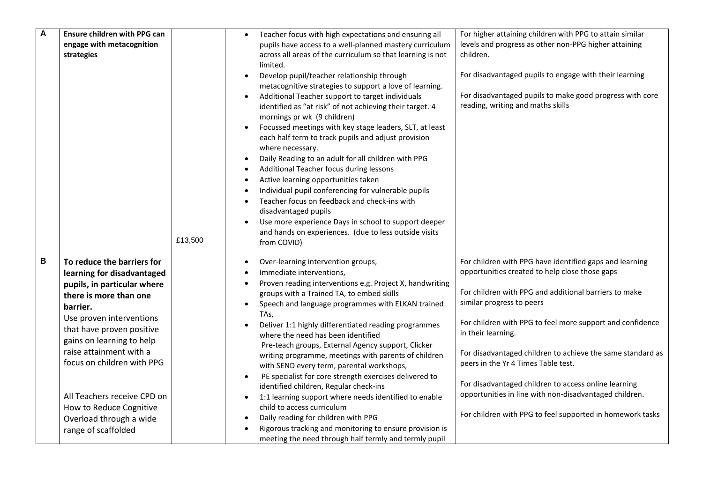| $\boldsymbol{A}$ | Ensure children with PPG can<br>engage with metacognition<br>strategies                                                                                                                                                                                                                                                                                                                  | £13,500 | Teacher focus with high expectations and ensuring all<br>pupils have access to a well-planned mastery curriculum<br>across all areas of the curriculum so that learning is not<br>limited.<br>Develop pupil/teacher relationship through<br>metacognitive strategies to support a love of learning.<br>Additional Teacher support to target individuals<br>identified as "at risk" of not achieving their target. 4<br>mornings pr wk (9 children)<br>Focussed meetings with key stage leaders, SLT, at least<br>each half term to track pupils and adjust provision<br>where necessary.<br>Daily Reading to an adult for all children with PPG<br>$\bullet$<br>Additional Teacher focus during lessons<br>Active learning opportunities taken<br>Individual pupil conferencing for vulnerable pupils<br>Teacher focus on feedback and check-ins with<br>disadvantaged pupils<br>Use more experience Days in school to support deeper<br>and hands on experiences. (due to less outside visits<br>from COVID) | For higher attaining children with PPG to attain similar<br>levels and progress as other non-PPG higher attaining<br>children.<br>For disadvantaged pupils to engage with their learning<br>For disadvantaged pupils to make good progress with core<br>reading, writing and maths skills                                                                                                                                                                                                                                                                              |
|------------------|------------------------------------------------------------------------------------------------------------------------------------------------------------------------------------------------------------------------------------------------------------------------------------------------------------------------------------------------------------------------------------------|---------|---------------------------------------------------------------------------------------------------------------------------------------------------------------------------------------------------------------------------------------------------------------------------------------------------------------------------------------------------------------------------------------------------------------------------------------------------------------------------------------------------------------------------------------------------------------------------------------------------------------------------------------------------------------------------------------------------------------------------------------------------------------------------------------------------------------------------------------------------------------------------------------------------------------------------------------------------------------------------------------------------------------|------------------------------------------------------------------------------------------------------------------------------------------------------------------------------------------------------------------------------------------------------------------------------------------------------------------------------------------------------------------------------------------------------------------------------------------------------------------------------------------------------------------------------------------------------------------------|
| B                | To reduce the barriers for<br>learning for disadvantaged<br>pupils, in particular where<br>there is more than one<br>barrier.<br>Use proven interventions<br>that have proven positive<br>gains on learning to help<br>raise attainment with a<br>focus on children with PPG<br>All Teachers receive CPD on<br>How to Reduce Cognitive<br>Overload through a wide<br>range of scaffolded |         | Over-learning intervention groups,<br>Immediate interventions,<br>Proven reading interventions e.g. Project X, handwriting<br>groups with a Trained TA, to embed skills<br>Speech and language programmes with ELKAN trained<br>$\bullet$<br>TAs,<br>Deliver 1:1 highly differentiated reading programmes<br>where the need has been identified<br>Pre-teach groups, External Agency support, Clicker<br>writing programme, meetings with parents of children<br>with SEND every term, parental workshops,<br>PE specialist for core strength exercises delivered to<br>$\bullet$<br>identified children, Regular check-ins<br>1:1 learning support where needs identified to enable<br>child to access curriculum<br>Daily reading for children with PPG<br>٠<br>Rigorous tracking and monitoring to ensure provision is<br>meeting the need through half termly and termly pupil                                                                                                                            | For children with PPG have identified gaps and learning<br>opportunities created to help close those gaps<br>For children with PPG and additional barriers to make<br>similar progress to peers<br>For children with PPG to feel more support and confidence<br>in their learning.<br>For disadvantaged children to achieve the same standard as<br>peers in the Yr 4 Times Table test.<br>For disadvantaged children to access online learning<br>opportunities in line with non-disadvantaged children.<br>For children with PPG to feel supported in homework tasks |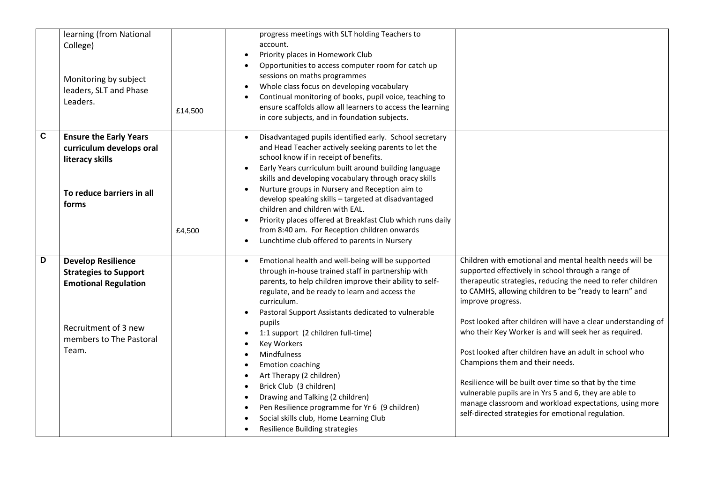|                | learning (from National<br>College)<br>Monitoring by subject<br>leaders, SLT and Phase<br>Leaders.                                                   | £14,500 | progress meetings with SLT holding Teachers to<br>account.<br>Priority places in Homework Club<br>$\bullet$<br>Opportunities to access computer room for catch up<br>$\bullet$<br>sessions on maths programmes<br>Whole class focus on developing vocabulary<br>$\bullet$<br>Continual monitoring of books, pupil voice, teaching to<br>$\bullet$<br>ensure scaffolds allow all learners to access the learning<br>in core subjects, and in foundation subjects.                                                                                                                                                                                                                                                                                                |                                                                                                                                                                                                                                                                                                                                                                                                                                                                                                                                                                                                                                                                                                                         |
|----------------|------------------------------------------------------------------------------------------------------------------------------------------------------|---------|-----------------------------------------------------------------------------------------------------------------------------------------------------------------------------------------------------------------------------------------------------------------------------------------------------------------------------------------------------------------------------------------------------------------------------------------------------------------------------------------------------------------------------------------------------------------------------------------------------------------------------------------------------------------------------------------------------------------------------------------------------------------|-------------------------------------------------------------------------------------------------------------------------------------------------------------------------------------------------------------------------------------------------------------------------------------------------------------------------------------------------------------------------------------------------------------------------------------------------------------------------------------------------------------------------------------------------------------------------------------------------------------------------------------------------------------------------------------------------------------------------|
| $\overline{c}$ | <b>Ensure the Early Years</b><br>curriculum develops oral<br>literacy skills<br>To reduce barriers in all<br>forms                                   | £4,500  | Disadvantaged pupils identified early. School secretary<br>and Head Teacher actively seeking parents to let the<br>school know if in receipt of benefits.<br>Early Years curriculum built around building language<br>$\bullet$<br>skills and developing vocabulary through oracy skills<br>Nurture groups in Nursery and Reception aim to<br>$\bullet$<br>develop speaking skills - targeted at disadvantaged<br>children and children with EAL.<br>Priority places offered at Breakfast Club which runs daily<br>$\bullet$<br>from 8:40 am. For Reception children onwards<br>Lunchtime club offered to parents in Nursery<br>$\bullet$                                                                                                                       |                                                                                                                                                                                                                                                                                                                                                                                                                                                                                                                                                                                                                                                                                                                         |
| D              | <b>Develop Resilience</b><br><b>Strategies to Support</b><br><b>Emotional Regulation</b><br>Recruitment of 3 new<br>members to The Pastoral<br>Team. |         | Emotional health and well-being will be supported<br>$\bullet$<br>through in-house trained staff in partnership with<br>parents, to help children improve their ability to self-<br>regulate, and be ready to learn and access the<br>curriculum.<br>Pastoral Support Assistants dedicated to vulnerable<br>$\bullet$<br>pupils<br>1:1 support (2 children full-time)<br>$\bullet$<br><b>Key Workers</b><br>$\bullet$<br>Mindfulness<br>$\bullet$<br>Emotion coaching<br>$\bullet$<br>Art Therapy (2 children)<br>$\bullet$<br>Brick Club (3 children)<br>$\bullet$<br>Drawing and Talking (2 children)<br>$\bullet$<br>Pen Resilience programme for Yr 6 (9 children)<br>$\bullet$<br>Social skills club, Home Learning Club<br>Resilience Building strategies | Children with emotional and mental health needs will be<br>supported effectively in school through a range of<br>therapeutic strategies, reducing the need to refer children<br>to CAMHS, allowing children to be "ready to learn" and<br>improve progress.<br>Post looked after children will have a clear understanding of<br>who their Key Worker is and will seek her as required.<br>Post looked after children have an adult in school who<br>Champions them and their needs.<br>Resilience will be built over time so that by the time<br>vulnerable pupils are in Yrs 5 and 6, they are able to<br>manage classroom and workload expectations, using more<br>self-directed strategies for emotional regulation. |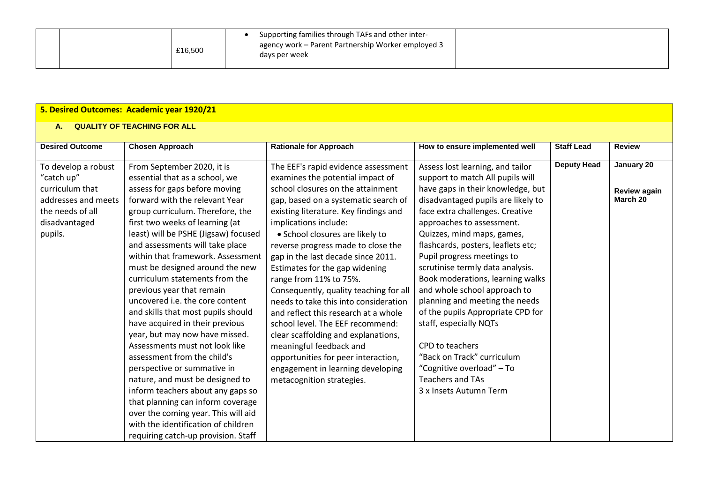|  | £16,500 |  | Supporting families through TAFs and other inter-<br>agency work – Parent Partnership Worker employed 3<br>days per week |  |
|--|---------|--|--------------------------------------------------------------------------------------------------------------------------|--|
|--|---------|--|--------------------------------------------------------------------------------------------------------------------------|--|

# **5. Desired Outcomes: Academic year 1920/21**

# **A. QUALITY OF TEACHING FOR ALL**

| <b>Desired Outcome</b><br>To develop a robust<br>"catch up"<br>curriculum that<br>addresses and meets<br>the needs of all<br>disadvantaged<br>pupils. | <b>Chosen Approach</b><br>From September 2020, it is<br>essential that as a school, we<br>assess for gaps before moving<br>forward with the relevant Year<br>group curriculum. Therefore, the<br>first two weeks of learning (at<br>least) will be PSHE (Jigsaw) focused<br>and assessments will take place<br>within that framework. Assessment<br>must be designed around the new<br>curriculum statements from the | <b>Rationale for Approach</b><br>The EEF's rapid evidence assessment<br>examines the potential impact of<br>school closures on the attainment<br>gap, based on a systematic search of<br>existing literature. Key findings and<br>implications include:<br>• School closures are likely to<br>reverse progress made to close the<br>gap in the last decade since 2011.<br>Estimates for the gap widening<br>range from 11% to 75%. | How to ensure implemented well<br>Assess lost learning, and tailor<br>support to match All pupils will<br>have gaps in their knowledge, but<br>disadvantaged pupils are likely to<br>face extra challenges. Creative<br>approaches to assessment.<br>Quizzes, mind maps, games,<br>flashcards, posters, leaflets etc;<br>Pupil progress meetings to<br>scrutinise termly data analysis.<br>Book moderations, learning walks | <b>Staff Lead</b><br><b>Deputy Head</b> | <b>Review</b><br>January 20<br>Review again<br>March 20 |
|-------------------------------------------------------------------------------------------------------------------------------------------------------|-----------------------------------------------------------------------------------------------------------------------------------------------------------------------------------------------------------------------------------------------------------------------------------------------------------------------------------------------------------------------------------------------------------------------|------------------------------------------------------------------------------------------------------------------------------------------------------------------------------------------------------------------------------------------------------------------------------------------------------------------------------------------------------------------------------------------------------------------------------------|-----------------------------------------------------------------------------------------------------------------------------------------------------------------------------------------------------------------------------------------------------------------------------------------------------------------------------------------------------------------------------------------------------------------------------|-----------------------------------------|---------------------------------------------------------|
|                                                                                                                                                       | previous year that remain<br>uncovered i.e. the core content<br>and skills that most pupils should<br>have acquired in their previous<br>year, but may now have missed.                                                                                                                                                                                                                                               | Consequently, quality teaching for all<br>needs to take this into consideration<br>and reflect this research at a whole<br>school level. The EEF recommend:<br>clear scaffolding and explanations,                                                                                                                                                                                                                                 | and whole school approach to<br>planning and meeting the needs<br>of the pupils Appropriate CPD for<br>staff, especially NQTs                                                                                                                                                                                                                                                                                               |                                         |                                                         |
|                                                                                                                                                       | Assessments must not look like<br>assessment from the child's<br>perspective or summative in<br>nature, and must be designed to<br>inform teachers about any gaps so<br>that planning can inform coverage<br>over the coming year. This will aid<br>with the identification of children<br>requiring catch-up provision. Staff                                                                                        | meaningful feedback and<br>opportunities for peer interaction,<br>engagement in learning developing<br>metacognition strategies.                                                                                                                                                                                                                                                                                                   | CPD to teachers<br>"Back on Track" curriculum<br>"Cognitive overload" - To<br><b>Teachers and TAs</b><br>3 x Insets Autumn Term                                                                                                                                                                                                                                                                                             |                                         |                                                         |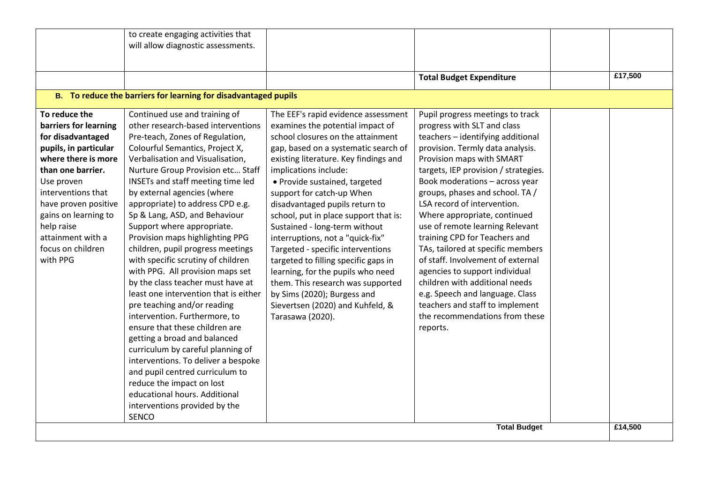|                       | to create engaging activities that                              |                                       |                                      |         |
|-----------------------|-----------------------------------------------------------------|---------------------------------------|--------------------------------------|---------|
|                       | will allow diagnostic assessments.                              |                                       |                                      |         |
|                       |                                                                 |                                       |                                      |         |
|                       |                                                                 |                                       |                                      |         |
|                       |                                                                 |                                       | <b>Total Budget Expenditure</b>      | £17,500 |
|                       | B. To reduce the barriers for learning for disadvantaged pupils |                                       |                                      |         |
| To reduce the         | Continued use and training of                                   | The EEF's rapid evidence assessment   | Pupil progress meetings to track     |         |
| barriers for learning | other research-based interventions                              | examines the potential impact of      | progress with SLT and class          |         |
| for disadvantaged     | Pre-teach, Zones of Regulation,                                 | school closures on the attainment     | teachers - identifying additional    |         |
| pupils, in particular | Colourful Semantics, Project X,                                 | gap, based on a systematic search of  | provision. Termly data analysis.     |         |
| where there is more   | Verbalisation and Visualisation,                                | existing literature. Key findings and | Provision maps with SMART            |         |
| than one barrier.     | Nurture Group Provision etc Staff                               | implications include:                 | targets, IEP provision / strategies. |         |
| Use proven            | INSETs and staff meeting time led                               | · Provide sustained, targeted         | Book moderations - across year       |         |
| interventions that    | by external agencies (where                                     | support for catch-up When             | groups, phases and school. TA /      |         |
| have proven positive  | appropriate) to address CPD e.g.                                | disadvantaged pupils return to        | LSA record of intervention.          |         |
| gains on learning to  | Sp & Lang, ASD, and Behaviour                                   | school, put in place support that is: | Where appropriate, continued         |         |
| help raise            | Support where appropriate.                                      | Sustained - long-term without         | use of remote learning Relevant      |         |
| attainment with a     | Provision maps highlighting PPG                                 | interruptions, not a "quick-fix"      | training CPD for Teachers and        |         |
| focus on children     | children, pupil progress meetings                               | Targeted - specific interventions     | TAs, tailored at specific members    |         |
| with PPG              | with specific scrutiny of children                              | targeted to filling specific gaps in  | of staff. Involvement of external    |         |
|                       | with PPG. All provision maps set                                | learning, for the pupils who need     | agencies to support individual       |         |
|                       | by the class teacher must have at                               | them. This research was supported     | children with additional needs       |         |
|                       | least one intervention that is either                           | by Sims (2020); Burgess and           | e.g. Speech and language. Class      |         |
|                       | pre teaching and/or reading                                     | Sievertsen (2020) and Kuhfeld, &      | teachers and staff to implement      |         |
|                       | intervention. Furthermore, to                                   | Tarasawa (2020).                      | the recommendations from these       |         |
|                       | ensure that these children are                                  |                                       | reports.                             |         |
|                       | getting a broad and balanced                                    |                                       |                                      |         |
|                       | curriculum by careful planning of                               |                                       |                                      |         |
|                       | interventions. To deliver a bespoke                             |                                       |                                      |         |
|                       | and pupil centred curriculum to                                 |                                       |                                      |         |
|                       | reduce the impact on lost                                       |                                       |                                      |         |
|                       | educational hours. Additional                                   |                                       |                                      |         |
|                       | interventions provided by the                                   |                                       |                                      |         |
|                       | <b>SENCO</b>                                                    |                                       |                                      |         |
|                       |                                                                 |                                       | <b>Total Budget</b>                  | £14,500 |
|                       |                                                                 |                                       |                                      |         |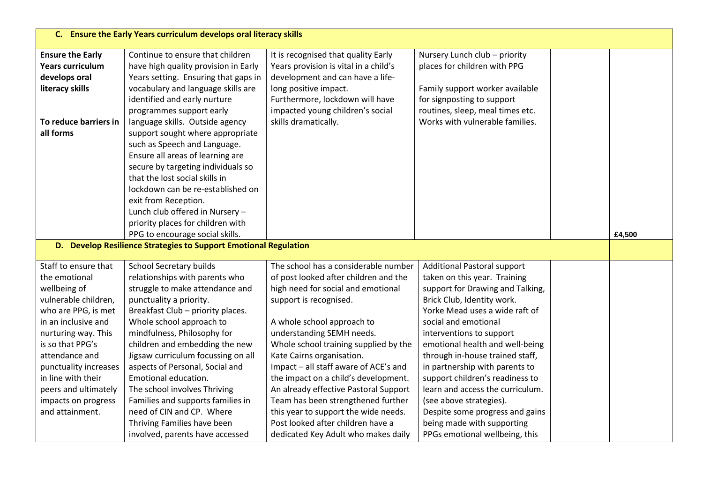|                         | C. Ensure the Early Years curriculum develops oral literacy skills |                                       |                                    |  |        |  |  |
|-------------------------|--------------------------------------------------------------------|---------------------------------------|------------------------------------|--|--------|--|--|
| <b>Ensure the Early</b> | Continue to ensure that children                                   | It is recognised that quality Early   | Nursery Lunch club - priority      |  |        |  |  |
| <b>Years curriculum</b> | have high quality provision in Early                               | Years provision is vital in a child's | places for children with PPG       |  |        |  |  |
| develops oral           | Years setting. Ensuring that gaps in                               | development and can have a life-      |                                    |  |        |  |  |
| literacy skills         | vocabulary and language skills are                                 | long positive impact.                 | Family support worker available    |  |        |  |  |
|                         | identified and early nurture                                       | Furthermore, lockdown will have       | for signposting to support         |  |        |  |  |
|                         | programmes support early                                           | impacted young children's social      | routines, sleep, meal times etc.   |  |        |  |  |
| To reduce barriers in   | language skills. Outside agency                                    | skills dramatically.                  | Works with vulnerable families.    |  |        |  |  |
| all forms               | support sought where appropriate                                   |                                       |                                    |  |        |  |  |
|                         | such as Speech and Language.                                       |                                       |                                    |  |        |  |  |
|                         | Ensure all areas of learning are                                   |                                       |                                    |  |        |  |  |
|                         | secure by targeting individuals so                                 |                                       |                                    |  |        |  |  |
|                         | that the lost social skills in                                     |                                       |                                    |  |        |  |  |
|                         | lockdown can be re-established on                                  |                                       |                                    |  |        |  |  |
|                         | exit from Reception.                                               |                                       |                                    |  |        |  |  |
|                         | Lunch club offered in Nursery -                                    |                                       |                                    |  |        |  |  |
|                         | priority places for children with                                  |                                       |                                    |  |        |  |  |
|                         | PPG to encourage social skills.                                    |                                       |                                    |  | £4,500 |  |  |
|                         | D. Develop Resilience Strategies to Support Emotional Regulation   |                                       |                                    |  |        |  |  |
| Staff to ensure that    | School Secretary builds                                            | The school has a considerable number  | <b>Additional Pastoral support</b> |  |        |  |  |
| the emotional           | relationships with parents who                                     | of post looked after children and the | taken on this year. Training       |  |        |  |  |
| wellbeing of            | struggle to make attendance and                                    | high need for social and emotional    | support for Drawing and Talking,   |  |        |  |  |
| vulnerable children,    | punctuality a priority.                                            | support is recognised.                | Brick Club, Identity work.         |  |        |  |  |
| who are PPG, is met     | Breakfast Club - priority places.                                  |                                       | Yorke Mead uses a wide raft of     |  |        |  |  |
| in an inclusive and     | Whole school approach to                                           | A whole school approach to            | social and emotional               |  |        |  |  |
| nurturing way. This     | mindfulness, Philosophy for                                        | understanding SEMH needs.             | interventions to support           |  |        |  |  |
| is so that PPG's        | children and embedding the new                                     | Whole school training supplied by the | emotional health and well-being    |  |        |  |  |
| attendance and          | Jigsaw curriculum focussing on all                                 | Kate Cairns organisation.             | through in-house trained staff,    |  |        |  |  |
| punctuality increases   | aspects of Personal, Social and                                    | Impact - all staff aware of ACE's and | in partnership with parents to     |  |        |  |  |
| in line with their      | Emotional education.                                               | the impact on a child's development.  | support children's readiness to    |  |        |  |  |
| peers and ultimately    | The school involves Thriving                                       | An already effective Pastoral Support | learn and access the curriculum.   |  |        |  |  |
| impacts on progress     | Families and supports families in                                  | Team has been strengthened further    | (see above strategies).            |  |        |  |  |
| and attainment.         | need of CIN and CP. Where                                          | this year to support the wide needs.  | Despite some progress and gains    |  |        |  |  |
|                         | Thriving Families have been                                        | Post looked after children have a     | being made with supporting         |  |        |  |  |
|                         | involved, parents have accessed                                    | dedicated Key Adult who makes daily   | PPGs emotional wellbeing, this     |  |        |  |  |